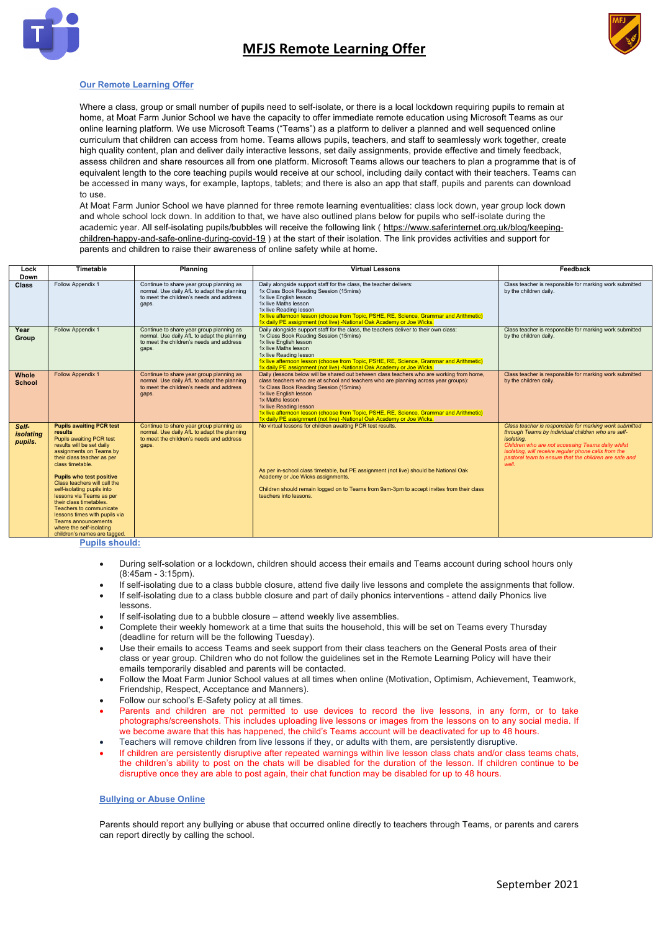

# **MFJS Remote Learning Offer**



## **Our Remote Learning Offer**

Where a class, group or small number of pupils need to self-isolate, or there is a local lockdown requiring pupils to remain at home, at Moat Farm Junior School we have the capacity to offer immediate remote education using Microsoft Teams as our online learning platform. We use Microsoft Teams ("Teams") as a platform to deliver a planned and well sequenced online curriculum that children can access from home. Teams allows pupils, teachers, and staff to seamlessly work together, create high quality content, plan and deliver daily interactive lessons, set daily assignments, provide effective and timely feedback, assess children and share resources all from one platform. Microsoft Teams allows our teachers to plan a programme that is of equivalent length to the core teaching pupils would receive at our school, including daily contact with their teachers. Teams can be accessed in many ways, for example, laptops, tablets; and there is also an app that staff, pupils and parents can download to use.

At Moat Farm Junior School we have planned for three remote learning eventualities: class lock down, year group lock down and whole school lock down. In addition to that, we have also outlined plans below for pupils who self-isolate during the academic year. All self-isolating pupils/bubbles will receive the following link ( https://www.saferinternet.org.uk/blog/keepingchildren-happy-and-safe-online-during-covid-19 ) at the start of their isolation. The link provides activities and support for parents and children to raise their awareness of online safety while at home.

| Lock<br>Down                  | <b>Timetable</b>                                                                                                                                                                                                                                                                                                                                                                                                                                                                               | Planning                                                                                                                                     | <b>Virtual Lessons</b>                                                                                                                                                                                                                                                                                                                                                                                                                                                | Feedback                                                                                                                                                                                                                                                                                                    |
|-------------------------------|------------------------------------------------------------------------------------------------------------------------------------------------------------------------------------------------------------------------------------------------------------------------------------------------------------------------------------------------------------------------------------------------------------------------------------------------------------------------------------------------|----------------------------------------------------------------------------------------------------------------------------------------------|-----------------------------------------------------------------------------------------------------------------------------------------------------------------------------------------------------------------------------------------------------------------------------------------------------------------------------------------------------------------------------------------------------------------------------------------------------------------------|-------------------------------------------------------------------------------------------------------------------------------------------------------------------------------------------------------------------------------------------------------------------------------------------------------------|
| <b>Class</b>                  | Follow Appendix 1                                                                                                                                                                                                                                                                                                                                                                                                                                                                              | Continue to share year group planning as<br>normal. Use daily AfL to adapt the planning<br>to meet the children's needs and address<br>gaps. | Daily alongside support staff for the class, the teacher delivers:<br>1x Class Book Reading Session (15mins)<br>1x live English lesson<br>1x live Maths lesson<br>1x live Reading lesson<br>1x live afternoon lesson (choose from Topic, PSHE, RE, Science, Grammar and Arithmetic)<br>1x daily PE assignment (not live) -National Oak Academy or Joe Wicks.                                                                                                          | Class teacher is responsible for marking work submitted<br>by the children daily.                                                                                                                                                                                                                           |
| Year<br>Group                 | Follow Appendix 1                                                                                                                                                                                                                                                                                                                                                                                                                                                                              | Continue to share year group planning as<br>normal. Use daily AfL to adapt the planning<br>to meet the children's needs and address<br>gaps. | Daily alongside support staff for the class, the teachers deliver to their own class:<br>1x Class Book Reading Session (15mins)<br>1x live English lesson<br>1x live Maths lesson<br>1x live Reading lesson<br>1x live afternoon lesson (choose from Topic, PSHE, RE, Science, Grammar and Arithmetic)<br>1x daily PE assignment (not live) -National Oak Academy or Joe Wicks.                                                                                       | Class teacher is responsible for marking work submitted<br>by the children daily.                                                                                                                                                                                                                           |
| Whole<br><b>School</b>        | <b>Follow Appendix 1</b>                                                                                                                                                                                                                                                                                                                                                                                                                                                                       | Continue to share year group planning as<br>normal. Use daily AfL to adapt the planning<br>to meet the children's needs and address<br>gaps. | Daily (lessons below will be shared out between class teachers who are working from home,<br>class teachers who are at school and teachers who are planning across year groups):<br>1x Class Book Reading Session (15mins)<br>1x live English lesson<br>1x Maths lesson<br>1x live Reading lesson<br>1x live afternoon lesson (choose from Topic, PSHE, RE, Science, Grammar and Arithmetic)<br>1x daily PE assignment (not live) -National Oak Academy or Joe Wicks. | Class teacher is responsible for marking work submitted<br>by the children daily.                                                                                                                                                                                                                           |
| Self-<br>isolating<br>pupils. | <b>Pupils awaiting PCR test</b><br>results<br>Pupils awaiting PCR test<br>results will be set daily<br>assignments on Teams by<br>their class teacher as per<br>class timetable.<br><b>Pupils who test positive</b><br>Class teachers will call the<br>self-isolating pupils into<br>lessons via Teams as per<br>their class timetables.<br>Teachers to communicate<br>lessons times with pupils via<br><b>Teams announcements</b><br>where the self-isolating<br>children's names are tagged. | Continue to share year group planning as<br>normal. Use daily AfL to adapt the planning<br>to meet the children's needs and address<br>gaps. | No virtual lessons for children awaiting PCR test results.<br>As per in-school class timetable, but PE assignment (not live) should be National Oak<br>Academy or Joe Wicks assignments.<br>Children should remain logged on to Teams from 9am-3pm to accept invites from their class<br>teachers into lessons.                                                                                                                                                       | Class teacher is responsible for marking work submitted<br>through Teams by individual children who are self-<br>isolating.<br>Children who are not accessing Teams daily whilst<br>isolating, will receive regular phone calls from the<br>pastoral team to ensure that the children are safe and<br>well. |

**Pupils should:**

- During self-solation or a lockdown, children should access their emails and Teams account during school hours only (8:45am - 3:15pm).
- If self-isolating due to a class bubble closure, attend five daily live lessons and complete the assignments that follow.
- If self-isolating due to a class bubble closure and part of daily phonics interventions attend daily Phonics live lessons.
- If self-isolating due to a bubble closure attend weekly live assemblies.
- Complete their weekly homework at a time that suits the household, this will be set on Teams every Thursday (deadline for return will be the following Tuesday).
- Use their emails to access Teams and seek support from their class teachers on the General Posts area of their class or year group. Children who do not follow the guidelines set in the Remote Learning Policy will have their emails temporarily disabled and parents will be contacted.
- Follow the Moat Farm Junior School values at all times when online (Motivation, Optimism, Achievement, Teamwork, Friendship, Respect, Acceptance and Manners).
- Follow our school's E-Safety policy at all times.
- Parents and children are not permitted to use devices to record the live lessons, in any form, or to take photographs/screenshots. This includes uploading live lessons or images from the lessons on to any social media. If we become aware that this has happened, the child's Teams account will be deactivated for up to 48 hours.
- Teachers will remove children from live lessons if they, or adults with them, are persistently disruptive.
- If children are persistently disruptive after repeated warnings within live lesson class chats and/or class teams chats, the children's ability to post on the chats will be disabled for the duration of the lesson. If children continue to be disruptive once they are able to post again, their chat function may be disabled for up to 48 hours.

#### **Bullying or Abuse Online**

Parents should report any bullying or abuse that occurred online directly to teachers through Teams, or parents and carers can report directly by calling the school.